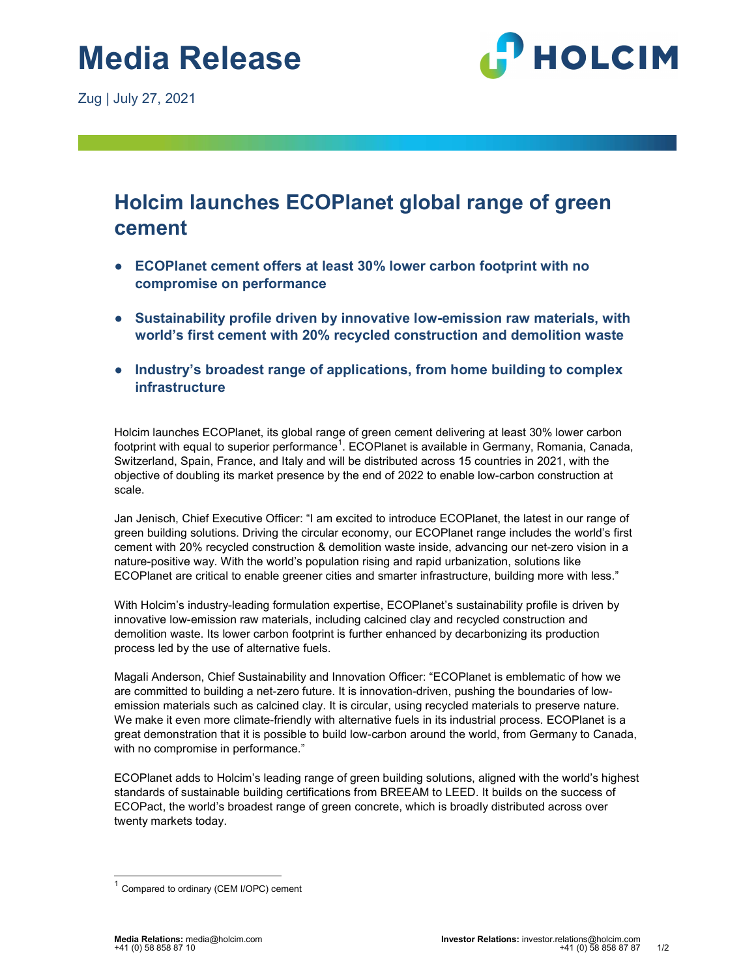Zug | July 27, 2021



## Holcim launches ECOPlanet global range of green cement

- ECOPlanet cement offers at least 30% lower carbon footprint with no compromise on performance
- Sustainability profile driven by innovative low-emission raw materials, with world's first cement with 20% recycled construction and demolition waste
- Industry's broadest range of applications, from home building to complex infrastructure

Holcim launches ECOPlanet, its global range of green cement delivering at least 30% lower carbon footprint with equal to superior performance $^1$ . ECOPlanet is available in Germany, Romania, Canada, Switzerland, Spain, France, and Italy and will be distributed across 15 countries in 2021, with the objective of doubling its market presence by the end of 2022 to enable low-carbon construction at scale.

Jan Jenisch, Chief Executive Officer: "I am excited to introduce ECOPlanet, the latest in our range of green building solutions. Driving the circular economy, our ECOPlanet range includes the world's first cement with 20% recycled construction & demolition waste inside, advancing our net-zero vision in a nature-positive way. With the world's population rising and rapid urbanization, solutions like ECOPlanet are critical to enable greener cities and smarter infrastructure, building more with less."

With Holcim's industry-leading formulation expertise, ECOPlanet's sustainability profile is driven by innovative low-emission raw materials, including calcined clay and recycled construction and demolition waste. Its lower carbon footprint is further enhanced by decarbonizing its production process led by the use of alternative fuels.

Magali Anderson, Chief Sustainability and Innovation Officer: "ECOPlanet is emblematic of how we are committed to building a net-zero future. It is innovation-driven, pushing the boundaries of lowemission materials such as calcined clay. It is circular, using recycled materials to preserve nature. We make it even more climate-friendly with alternative fuels in its industrial process. ECOPlanet is a great demonstration that it is possible to build low-carbon around the world, from Germany to Canada, with no compromise in performance."

ECOPlanet adds to Holcim's leading range of green building solutions, aligned with the world's highest standards of sustainable building certifications from BREEAM to LEED. It builds on the success of ECOPact, the world's broadest range of green concrete, which is broadly distributed across over twenty markets today.

 $1$  Compared to ordinary (CEM I/OPC) cement